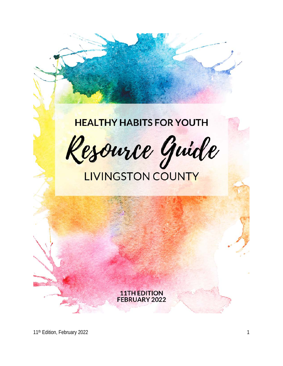#### **HEALTHY HABITS FOR YOUTH**

Resource Guide

**LIVINGSTON COUNTY** 

**11TH EDITION FEBRUARY 2022**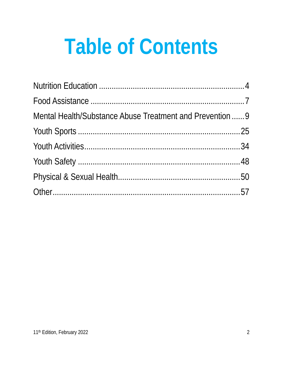# **Table of Contents**

| Mental Health/Substance Abuse Treatment and Prevention  9 |  |
|-----------------------------------------------------------|--|
|                                                           |  |
|                                                           |  |
|                                                           |  |
|                                                           |  |
|                                                           |  |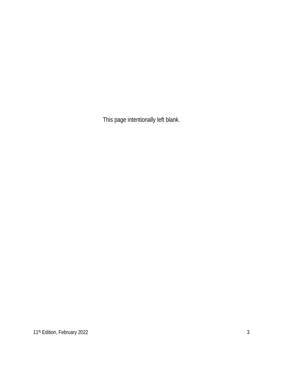This page intentionally left blank.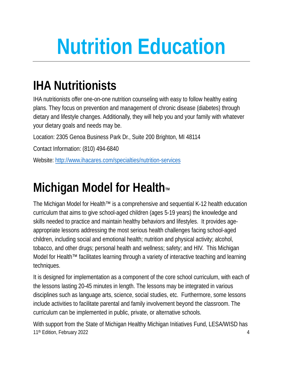# <span id="page-3-0"></span>**Nutrition Education**

#### **IHA Nutritionists**

IHA nutritionists offer one-on-one nutrition counseling with easy to follow healthy eating plans. They focus on prevention and management of chronic disease (diabetes) through dietary and lifestyle changes. Additionally, they will help you and your family with whatever your dietary goals and needs may be.

Location: 2305 Genoa Business Park Dr., Suite 200 Brighton, MI 48114

Contact Information: (810) 494-6840

Website:<http://www.ihacares.com/specialties/nutrition-services>

#### Michigan Model for Health<sub>M</sub>

The Michigan Model for Health™ is a comprehensive and sequential K-12 health education curriculum that aims to give school-aged children (ages 5-19 years) the knowledge and skills needed to practice and maintain healthy behaviors and lifestyles. It provides ageappropriate lessons addressing the most serious health challenges facing school-aged children, including social and emotional health; nutrition and physical activity; alcohol, tobacco, and other drugs; personal health and wellness; safety; and HIV. This Michigan Model for Health™ facilitates learning through a variety of interactive teaching and learning techniques.

It is designed for implementation as a component of the core school curriculum, with each of the lessons lasting 20-45 minutes in length. The lessons may be integrated in various disciplines such as language arts, science, social studies, etc. Furthermore, some lessons include activities to facilitate parental and family involvement beyond the classroom. The curriculum can be implemented in public, private, or alternative schools.

11<sup>th</sup> Edition, February 2022 4 With support from the State of Michigan Healthy Michigan Initiatives Fund, LESA/WISD has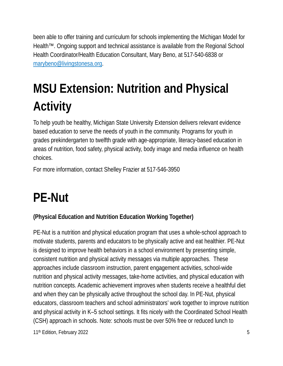been able to offer training and curriculum for schools implementing the Michigan Model for Health™. Ongoing support and technical assistance is available from the Regional School Health Coordinator/Health Education Consultant, Mary Beno, at 517-540-6838 or marybeno@livingstonesa.org.

# **MSU Extension: Nutrition and Physical Activity**

To help youth be healthy, Michigan State University Extension delivers relevant evidence based education to serve the needs of youth in the community. Programs for youth in grades prekindergarten to twelfth grade with age-appropriate, literacy-based education in areas of nutrition, food safety, physical activity, body image and media influence on health choices.

For more information, contact Shelley Frazier at 517-546-3950

## **PE-Nut**

#### **(Physical Education and Nutrition Education Working Together)**

PE-Nut is a nutrition and physical education program that uses a whole-school approach to motivate students, parents and educators to be physically active and eat healthier. PE-Nut is designed to improve health behaviors in a school environment by presenting simple, consistent nutrition and physical activity messages via multiple approaches. These approaches include classroom instruction, parent engagement activities, school-wide nutrition and physical activity messages, take-home activities, and physical education with nutrition concepts. Academic achievement improves when students receive a healthful diet and when they can be physically active throughout the school day. In PE-Nut, physical educators, classroom teachers and school administrators' work together to improve nutrition and physical activity in K–5 school settings. It fits nicely with the Coordinated School Health (CSH) approach in schools. Note: schools must be over 50% free or reduced lunch to

11<sup>th</sup> Edition, February 2022 5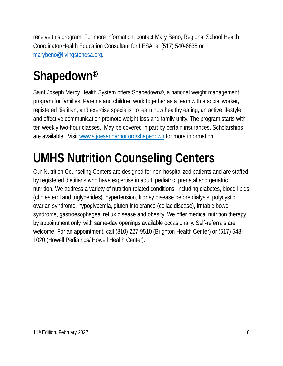receive this program. For more information, contact Mary Beno, Regional School Health Coordinator/Health Education Consultant for LESA, at (517) 540-6838 or [marybeno@livingstonesa.org.](mailto:marybeno@livingstonesa.org)

# **Shapedown®**

Saint Joseph Mercy Health System offers Shapedown®, a national weight management program for families. Parents and children work together as a team with a social worker, registered dietitian, and exercise specialist to learn how healthy eating, an active lifestyle, and effective communication promote weight loss and family unity. The program starts with ten weekly two-hour classes. May be covered in part by certain insurances. Scholarships are available. Visit [www.stjoesannarbor.org/shapedown](http://www.stjoesannarbor.org/shapedown) for more information.

## **UMHS Nutrition Counseling Centers**

Our Nutrition Counseling Centers are designed for non-hospitalized patients and are staffed by registered dietitians who have expertise in adult, pediatric, prenatal and geriatric nutrition. We address a variety of nutrition-related conditions, including diabetes, blood lipids (cholesterol and triglycerides), hypertension, kidney disease before dialysis, polycystic ovarian syndrome, hypoglycemia, gluten intolerance (celiac disease), irritable bowel syndrome, gastroesophageal reflux disease and obesity. We offer medical nutrition therapy by appointment only, with same-day openings available occasionally. Self-referrals are welcome. For an appointment, call (810) 227-9510 (Brighton Health Center) or (517) 548- 1020 (Howell Pediatrics/ Howell Health Center).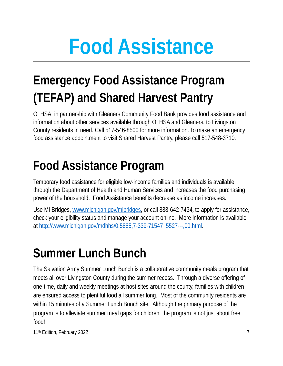# <span id="page-6-0"></span>**Food Assistance**

# **Emergency Food Assistance Program (TEFAP) and Shared Harvest Pantry**

OLHSA, in partnership with Gleaners Community Food Bank provides food assistance and information about other services available through OLHSA and Gleaners, to Livingston County residents in need. Call 517-546-8500 for more information. To make an emergency food assistance appointment to visit Shared Harvest Pantry, please call 517-548-3710.

#### **Food Assistance Program**

Temporary food assistance for eligible low-income families and individuals is available through the Department of Health and Human Services and increases the food purchasing power of the household. Food Assistance benefits decrease as income increases.

Use MI Bridges, [www.michigan.gov/mibridges,](http://www.michigan.gov/mibridges) or call 888-642-7434, to apply for assistance, check your eligibility status and manage your account online. More information is available at [http://www.michigan.gov/mdhhs/0,5885,7-339-71547\\_5527---,00.html.](http://www.michigan.gov/mdhhs/0,5885,7-339-71547_5527---,00.html)

#### **Summer Lunch Bunch**

The Salvation Army Summer Lunch Bunch is a collaborative community meals program that meets all over Livingston County during the summer recess. Through a diverse offering of one-time, daily and weekly meetings at host sites around the county, families with children are ensured access to plentiful food all summer long. Most of the community residents are within 15 minutes of a Summer Lunch Bunch site. Although the primary purpose of the program is to alleviate summer meal gaps for children, the program is not just about free food!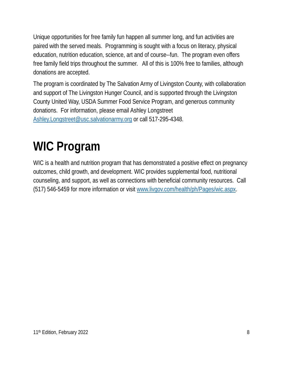Unique opportunities for free family fun happen all summer long, and fun activities are paired with the served meals. Programming is sought with a focus on literacy, physical education, nutrition education, science, art and of course--fun. The program even offers free family field trips throughout the summer. All of this is 100% free to families, although donations are accepted.

The program is coordinated by The Salvation Army of Livingston County, with collaboration and support of The Livingston Hunger Council, and is supported through the Livingston County United Way, USDA Summer Food Service Program, and generous community donations. For information, please email Ashley Longstreet [Ashley.Longstreet@usc.salvationarmy.org](mailto:Ashley.Longstreet@usc.salvationarmy.org) or call 517-295-4348.

# **WIC Program**

WIC is a health and nutrition program that has demonstrated a positive effect on pregnancy outcomes, child growth, and development. WIC provides supplemental food, nutritional counseling, and support, as well as connections with beneficial community resources. Call (517) 546-5459 for more information or visit [www.livgov.com/health/ph/Pages/wic.aspx.](http://www.livgov.com/health/ph/Pages/wic.aspx)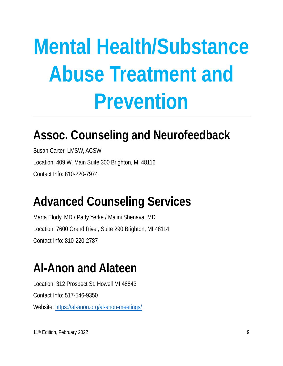# <span id="page-8-0"></span>**Mental Health/Substance Abuse Treatment and Prevention**

#### **Assoc. Counseling and Neurofeedback**

Susan Carter, LMSW, ACSW Location: 409 W. Main Suite 300 Brighton, MI 48116 Contact Info: 810-220-7974

#### **Advanced Counseling Services**

Marta Elody, MD / Patty Yerke / Malini Shenava, MD Location: 7600 Grand River, Suite 290 Brighton, MI 48114 Contact Info: 810-220-2787

#### **Al-Anon and Alateen**

Location: 312 Prospect St. Howell MI 48843 Contact Info: 517-546-9350 Website:<https://al-anon.org/al-anon-meetings/>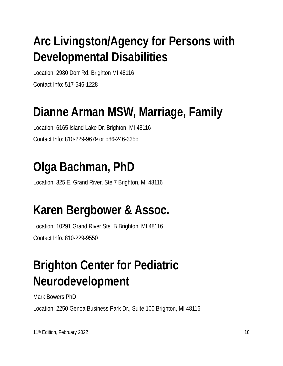### **Arc Livingston/Agency for Persons with Developmental Disabilities**

Location: 2980 Dorr Rd. Brighton MI 48116 Contact Info: 517-546-1228

#### **Dianne Arman MSW, Marriage, Family**

Location: 6165 Island Lake Dr. Brighton, MI 48116 Contact Info: 810-229-9679 or 586-246-3355

## **Olga Bachman, PhD**

Location: 325 E. Grand River, Ste 7 Brighton, MI 48116

# **Karen Bergbower & Assoc.**

Location: 10291 Grand River Ste. B Brighton, MI 48116 Contact Info: 810-229-9550

#### **Brighton Center for Pediatric Neurodevelopment**

Mark Bowers PhD

Location: 2250 Genoa Business Park Dr., Suite 100 Brighton, MI 48116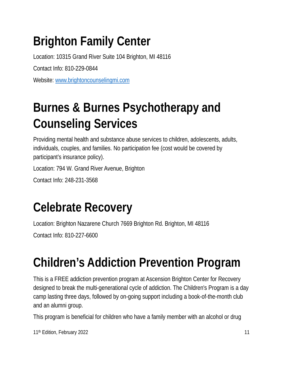# **Brighton Family Center**

Location: 10315 Grand River Suite 104 Brighton, MI 48116 Contact Info: 810-229-0844 Website: [www.brightoncounselingmi.com](http://www.brightoncounselingmi.com/)

## **Burnes & Burnes Psychotherapy and Counseling Services**

Providing mental health and substance abuse services to children, adolescents, adults, individuals, couples, and families. No participation fee (cost would be covered by participant's insurance policy).

Location: 794 W. Grand River Avenue, Brighton

Contact Info: 248-231-3568

# **Celebrate Recovery**

Location: Brighton Nazarene Church 7669 Brighton Rd. Brighton, MI 48116

Contact Info: 810-227-6600

## **Children's Addiction Prevention Program**

This is a FREE addiction prevention program at Ascension Brighton Center for Recovery designed to break the multi-generational cycle of addiction. The Children's Program is a day camp lasting three days, followed by on-going support including a book-of-the-month club and an alumni group.

This program is beneficial for children who have a family member with an alcohol or drug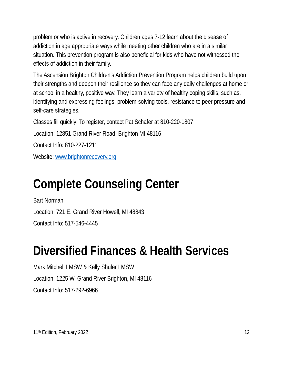problem or who is active in recovery. Children ages 7-12 learn about the disease of addiction in age appropriate ways while meeting other children who are in a similar situation. This prevention program is also beneficial for kids who have not witnessed the effects of addiction in their family.

The Ascension Brighton Children's Addiction Prevention Program helps children build upon their strengths and deepen their resilience so they can face any daily challenges at home or at school in a healthy, positive way. They learn a variety of healthy coping skills, such as, identifying and expressing feelings, problem-solving tools, resistance to peer pressure and self-care strategies.

Classes fill quickly! To register, contact Pat Schafer at 810-220-1807.

Location: 12851 Grand River Road, Brighton MI 48116

Contact Info: 810-227-1211

Website: [www.brightonrecovery.org](http://www.brightonrecovery.org/)

#### **Complete Counseling Center**

Bart Norman Location: 721 E. Grand River Howell, MI 48843 Contact Info: 517-546-4445

#### **Diversified Finances & Health Services**

Mark Mitchell LMSW & Kelly Shuler LMSW Location: 1225 W. Grand River Brighton, MI 48116 Contact Info: 517-292-6966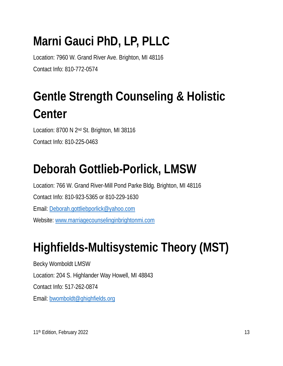# **Marni Gauci PhD, LP, PLLC**

Location: 7960 W. Grand River Ave. Brighton, MI 48116 Contact Info: 810-772-0574

# **Gentle Strength Counseling & Holistic Center**

Location: 8700 N 2nd St. Brighton, MI 38116 Contact Info: 810-225-0463

#### **Deborah Gottlieb-Porlick, LMSW**

Location: 766 W. Grand River-Mill Pond Parke Bldg. Brighton, MI 48116 Contact Info: 810-923-5365 or 810-229-1630 Email: [Deborah.gottliebporlick@yahoo.com](mailto:Deborah.gottliebporlick@yahoo.com) Website: [www.marriagecounselinginbrightonmi.com](http://www.marriagecounselinginbrightonmi.com/)

# **Highfields-Multisystemic Theory (MST)**

Becky Womboldt LMSW Location: 204 S. Highlander Way Howell, MI 48843 Contact Info: 517-262-0874 Email: [bwomboldt@ghighfields.org](mailto:bwomboldt@ghighfields.org)

11<sup>th</sup> Edition, February 2022 13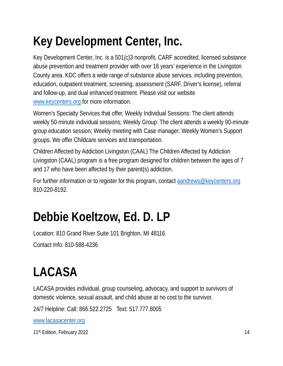# **Key Development Center, Inc.**

Key Development Center, Inc. is a 501(c)3 nonprofit, CARF accredited, licensed substance abuse prevention and treatment provider with over 16 years' experience in the Livingston County area. KDC offers a wide range of substance abuse services, including prevention, education, outpatient treatment, screening, assessment (SARF, Driver's license), referral and follow-up, and dual enhanced treatment. Please visit our website [www.keycenters.org](https://protect-us.mimecast.com/s/7do_CgJQW4UlGjRrUoEWIB?domain=keycenters.org) for more information.

Women's Specialty Services that offer, Weekly Individual Sessions: The client attends weekly 50-minute individual sessions; Weekly Group: The client attends a weekly 90-minute group education session; Weekly meeting with Case manager; Weekly Women's Support groups. We offer Childcare services and transportation.

Children Affected by Addiction Livingston (CAAL) The Children Affected by Addiction Livingston (CAAL) program is a free program designed for children between the ages of 7 and 17 who have been affected by their parent(s) addiction.

For further information or to register for this program, contact [aandrews@keycenters.org](mailto:aandrews@keycenters.org) 810-220-8192.

#### **Debbie Koeltzow, Ed. D. LP**

Location: 810 Grand River Suite 101 Brighton, MI 48116

Contact Info: 810-588-4236

# **LACASA**

LACASA provides individual, group counseling, advocacy, and support to survivors of domestic violence, sexual assault, and child abuse at no cost to the survivor.

24/7 Helpline: Call: 866.522.2725 Text: 517.777.8005

[www.lacasacenter.org](http://www.lacasacenter.org/)

11<sup>th</sup> Edition, February 2022 14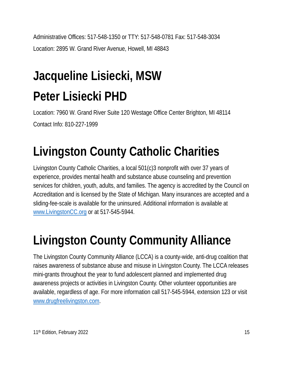Administrative Offices: 517-548-1350 or TTY: 517-548-0781 Fax: 517-548-3034 Location: 2895 W. Grand River Avenue, Howell, MI 48843

# **Jacqueline Lisiecki, MSW Peter Lisiecki PHD**

Location: 7960 W. Grand River Suite 120 Westage Office Center Brighton, MI 48114 Contact Info: 810-227-1999

# **Livingston County Catholic Charities**

Livingston County Catholic Charities, a local 501(c)3 nonprofit with over 37 years of experience, provides mental health and substance abuse counseling and prevention services for children, youth, adults, and families. The agency is accredited by the Council on Accreditation and is licensed by the State of Michigan. Many insurances are accepted and a sliding-fee-scale is available for the uninsured. Additional information is available at [www.LivingstonCC.org](http://www.livingstoncc.org/) or at 517-545-5944.

## **Livingston County Community Alliance**

The Livingston County Community Alliance (LCCA) is a county-wide, anti-drug coalition that raises awareness of substance abuse and misuse in Livingston County. The LCCA releases mini-grants throughout the year to fund adolescent planned and implemented drug awareness projects or activities in Livingston County. Other volunteer opportunities are available, regardless of age. For more information call 517-545-5944, extension 123 or visit [www.drugfreelivingston.com.](https://www.drugfreelivingston.com/)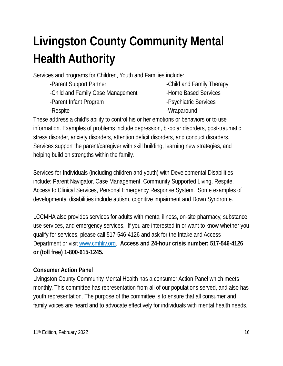# **Livingston County Community Mental Health Authority**

Services and programs for Children, Youth and Families include:

- -Parent Support Partner **-Child and Family Therapy**
- -Child and Family Case Management -Home Based Services
- -Parent Infant Program The Services -Psychiatric Services
- 

-Respite **-Wraparound** 

These address a child's ability to control his or her emotions or behaviors or to use information. Examples of problems include depression, bi-polar disorders, post-traumatic stress disorder, anxiety disorders, attention deficit disorders, and conduct disorders. Services support the parent/caregiver with skill building, learning new strategies, and helping build on strengths within the family.

Services for Individuals (including children and youth) with Developmental Disabilities include: Parent Navigator, Case Management, Community Supported Living, Respite, Access to Clinical Services, Personal Emergency Response System. Some examples of developmental disabilities include autism, cognitive impairment and Down Syndrome.

LCCMHA also provides services for adults with mental illness, on-site pharmacy, substance use services, and emergency services. If you are interested in or want to know whether you qualify for services, please call 517-546-4126 and ask for the Intake and Access Department or visit [www.cmhliv.org.](http://www.cmhliv.org/) **Access and 24-hour crisis number: 517-546-4126 or (toll free) 1-800-615-1245.**

#### **Consumer Action Panel**

Livingston County Community Mental Health has a consumer Action Panel which meets monthly. This committee has representation from all of our populations served, and also has youth representation. The purpose of the committee is to ensure that all consumer and family voices are heard and to advocate effectively for individuals with mental health needs.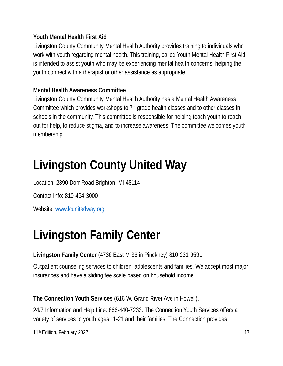#### **Youth Mental Health First Aid**

Livingston County Community Mental Health Authority provides training to individuals who work with youth regarding mental health. This training, called Youth Mental Health First Aid, is intended to assist youth who may be experiencing mental health concerns, helping the youth connect with a therapist or other assistance as appropriate.

#### **Mental Health Awareness Committee**

Livingston County Community Mental Health Authority has a Mental Health Awareness Committee which provides workshops to 7th grade health classes and to other classes in schools in the community. This committee is responsible for helping teach youth to reach out for help, to reduce stigma, and to increase awareness. The committee welcomes youth membership.

#### **Livingston County United Way**

Location: 2890 Dorr Road Brighton, MI 48114

Contact Info: 810-494-3000

Website: [www.lcunitedway.org](http://www.lcunitedway.org/)

#### **Livingston Family Center**

#### **Livingston Family Center** (4736 East M-36 in Pinckney) 810-231-9591

Outpatient counseling services to children, adolescents and families. We accept most major insurances and have a sliding fee scale based on household income.

**The Connection Youth Services** (616 W. Grand River Ave in Howell).

24/7 Information and Help Line: 866-440-7233. The Connection Youth Services offers a variety of services to youth ages 11-21 and their families. The Connection provides

11<sup>th</sup> Edition, February 2022 17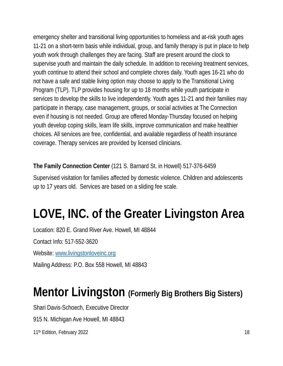emergency shelter and transitional living opportunities to homeless and at-risk youth ages 11-21 on a short-term basis while individual, group, and family therapy is put in place to help youth work through challenges they are facing. Staff are present around the clock to supervise youth and maintain the daily schedule. In addition to receiving treatment services, youth continue to attend their school and complete chores daily. Youth ages 16-21 who do not have a safe and stable living option may choose to apply to the Transitional Living Program (TLP). TLP provides housing for up to 18 months while youth participate in services to develop the skills to live independently. Youth ages 11-21 and their families may participate in therapy, case management, groups, or social activities at The Connection even if housing is not needed. Group are offered Monday-Thursday focused on helping youth develop coping skills, learn life skills, improve communication and make healthier choices. All services are free, confidential, and available regardless of health insurance coverage. Therapy services are provided by licensed clinicians.

**The Family Connection Center** (121 S. Barnard St. in Howell) 517-376-6459

Supervised visitation for families affected by domestic violence. Children and adolescents up to 17 years old. Services are based on a sliding fee scale.

# **LOVE, INC. of the Greater Livingston Area**

Location: 820 E. Grand River Ave. Howell, MI 48844 Contact Info: 517-552-3620 Website: [www.livingstonloveinc.org](http://www.livingstonloveinc.org/) Mailing Address: P.O. Box 558 Howell, MI 48843

#### **Mentor Livingston (Formerly Big Brothers Big Sisters)**

11<sup>th</sup> Edition, February 2022 18 Shari Davis-Schoech, Executive Director 915 N. Michigan Ave Howell, MI 48843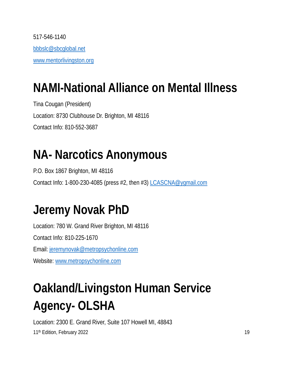517-546-1140 [bbbslc@sbcglobal.net](mailto:bbbslc@sbcglobal.net) [www.mentorlivingston.org](http://www.mentorlivingston.org/)

#### **NAMI-National Alliance on Mental Illness**

Tina Cougan (President) Location: 8730 Clubhouse Dr. Brighton, MI 48116 Contact Info: 810-552-3687

#### **NA- Narcotics Anonymous**

P.O. Box 1867 Brighton, MI 48116

Contact Info: 1-800-230-4085 (press #2, then #3) [LCASCNA@ygmail.com](mailto:LCASCNA@ygmail.com)

## **Jeremy Novak PhD**

Location: 780 W. Grand River Brighton, MI 48116 Contact Info: 810-225-1670 Email: [jeremynovak@metropsychonline.com](mailto:jeremynovak@metropsychonline.com) Website: [www.metropsychonline.com](http://www.metropsychonline.com/)

# **Oakland/Livingston Human Service Agency- OLSHA**

11<sup>th</sup> Edition, February 2022 19 Location: 2300 E. Grand River, Suite 107 Howell MI, 48843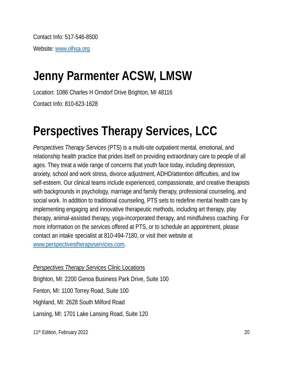Contact Info: 517-546-8500 Website: [www.olhsa.org](http://www.olhsa.org/)

#### **Jenny Parmenter ACSW, LMSW**

Location: 1086 Charles H Orndorf Drive Brighton, MI 48116 Contact Info: 810-623-1628

#### **Perspectives Therapy Services, LCC**

*Perspectives Therapy Services* (PTS) is a multi-site outpatient mental, emotional, and relationship health practice that prides itself on providing extraordinary care to people of all ages. They treat a wide range of concerns that youth face today, including depression, anxiety, school and work stress, divorce adjustment, ADHD/attention difficulties, and low self-esteem. Our clinical teams include experienced, compassionate, and creative therapists with backgrounds in psychology, marriage and family therapy, professional counseling, and social work. In addition to traditional counseling, PTS sets to redefine mental health care by implementing engaging and innovative therapeutic methods, including art therapy, play therapy, animal-assisted therapy, yoga-incorporated therapy, and mindfulness coaching. For more information on the services offered at PTS, or to schedule an appointment, please contact an intake specialist at 810-494-7180, or visit their website at [www.perspectivestherapyservices.com.](http://www.perspectivestherapyservices.com/)

*Perspectives Therapy Services* Clinic Locations Brighton, MI: 2200 Genoa Business Park Drive, Suite 100 Fenton, MI: 1100 Torrey Road, Suite 100 Highland, MI: 2628 South Milford Road Lansing, MI: 1701 Lake Lansing Road, Suite 120

11<sup>th</sup> Edition, February 2022 20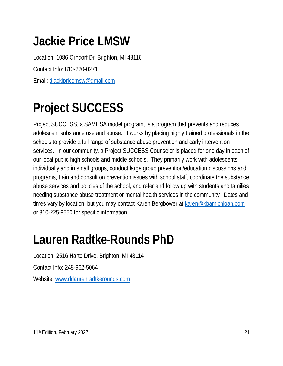### **Jackie Price LMSW**

Location: 1086 Orndorf Dr. Brighton, MI 48116 Contact Info: 810-220-0271 Email: [djackipricemsw@gmail.com](mailto:djackipricemsw@gmail.com)

# **Project SUCCESS**

Project SUCCESS, a SAMHSA model program, is a program that prevents and reduces adolescent substance use and abuse. It works by placing highly trained professionals in the schools to provide a full range of substance abuse prevention and early intervention services. In our community, a Project SUCCESS Counselor is placed for one day in each of our local public high schools and middle schools. They primarily work with adolescents individually and in small groups, conduct large group prevention/education discussions and programs, train and consult on prevention issues with school staff, coordinate the substance abuse services and policies of the school, and refer and follow up with students and families needing substance abuse treatment or mental health services in the community. Dates and times vary by location, but you may contact Karen Bergbower at karen@kbamichigan.com or 810-225-9550 for specific information.

#### **Lauren Radtke-Rounds PhD**

Location: 2516 Harte Drive, Brighton, MI 48114 Contact Info: 248-962-5064 Website: [www.drlaurenradtkerounds.com](http://www.drlaurenradtkerounds.com/)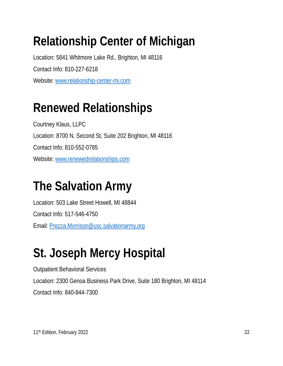### **Relationship Center of Michigan**

Location: 5841 Whitmore Lake Rd., Brighton, MI 48116 Contact Info: 810-227-6218 Website: [www.relationship-center-mi.com](http://www.relationship-center-mi.com/)

#### **Renewed Relationships**

Courtney Klaus, LLPC Location: 8700 N. Second St, Suite 202 Brighton, MI 48116 Contact Info: 810-552-0785 Website: [www.renewedrelationships.com](http://www.renewedrelationships.com/)

# **The Salvation Army**

Location: 503 Lake Street Howell, MI 48844 Contact Info: 517-546-4750 Email: [Prezza.Morrison@usc.salvationarmy.org](mailto:Prezza.Morrison@usc.salvationarmy.org)

# **St. Joseph Mercy Hospital**

Outpatient Behavioral Services Location: 2300 Genoa Business Park Drive, Suite 180 Brighton, MI 48114 Contact Info: 840-844-7300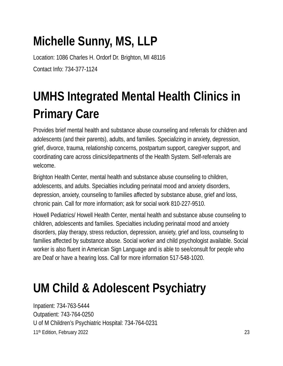# **Michelle Sunny, MS, LLP**

Location: 1086 Charles H. Ordorf Dr. Brighton, MI 48116 Contact Info: 734-377-1124

# **UMHS Integrated Mental Health Clinics in Primary Care**

Provides brief mental health and substance abuse counseling and referrals for children and adolescents (and their parents), adults, and families. Specializing in anxiety, depression, grief, divorce, trauma, relationship concerns, postpartum support, caregiver support, and coordinating care across clinics/departments of the Health System. Self-referrals are welcome.

Brighton Health Center, mental health and substance abuse counseling to children, adolescents, and adults. Specialties including perinatal mood and anxiety disorders, depression, anxiety, counseling to families affected by substance abuse, grief and loss, chronic pain. Call for more information; ask for social work 810-227-9510.

Howell Pediatrics/ Howell Health Center, mental health and substance abuse counseling to children, adolescents and families. Specialties including perinatal mood and anxiety disorders, play therapy, stress reduction, depression, anxiety, grief and loss, counseling to families affected by substance abuse. Social worker and child psychologist available. Social worker is also fluent in American Sign Language and is able to see/consult for people who are Deaf or have a hearing loss. Call for more information 517-548-1020.

## **UM Child & Adolescent Psychiatry**

11<sup>th</sup> Edition, February 2022 23 Inpatient: 734-763-5444 Outpatient: 743-764-0250 U of M Children's Psychiatric Hospital: 734-764-0231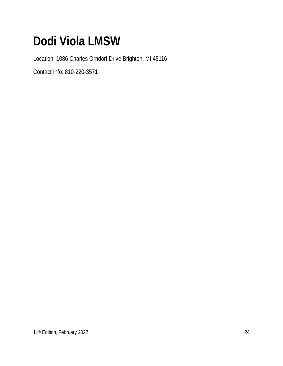#### **Dodi Viola LMSW**

Location: 1086 Charles Orndorf Drive Brighton, MI 48116

<span id="page-23-0"></span>Contact Info: 810-220-3571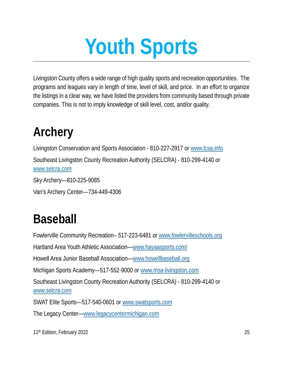# **Youth Sports**

Livingston County offers a wide range of high quality sports and recreation opportunities. The programs and leagues vary in length of time, level of skill, and price. In an effort to organize the listings in a clear way, we have listed the providers from community based through private companies. This is not to imply knowledge of skill level, cost, and/or quality.

## **Archery**

Livingston Conservation and Sports Association - 810-227-2917 or [www.lcsa.info](http://www.lcsa.info/) Southeast Livingston County Recreation Authority (SELCRA) - 810-299-4140 or [www.selcra.com](http://www.selcra.com/) Sky Archery—810-225-9085 Van's Archery Center—734-449-4306

#### **Baseball**

Fowlerville Community Recreation– 517-223-6481 or [www.fowlervilleschools.org](http://www.fowlervilleschools.org/) Hartland Area Youth Athletic Association[—www.hayaasports.com/](http://www.hayaasports.com/) Howell Area Junior Baseball Association[—www.howellbaseball.org](http://www.howellbaseball.org/) Michigan Sports Academy—517-552-9000 or [www.msa-livingston.com](http://www.msa-livingston.com/) Southeast Livingston County Recreation Authority (SELCRA) - 810-299-4140 or [www.selcra.com](http://www.selcra.com/) SWAT Elite Sports—517-540-0601 or [www.swatsports.com](http://www.swatsports.com/) The Legacy Center[—www.legacycentermichigan.com](http://www.legacycentermichigan.com/)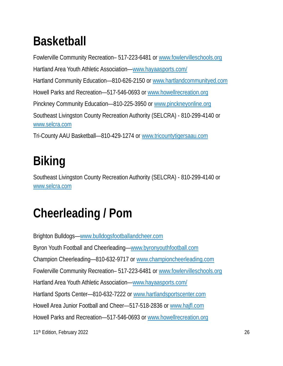# **Basketball**

Fowlerville Community Recreation– 517-223-6481 or [www.fowlervilleschools.org](http://www.fowlervilleschools.org/) Hartland Area Youth Athletic Association[—www.hayaasports.com/](http://www.hayaasports.com/) Hartland Community Education—810-626-2150 or [www.hartlandcommunityed.com](http://www.hartlandcommunityed.com/) Howell Parks and Recreation—517-546-0693 or [www.howellrecreation.org](http://www.howellrecreation.org/) Pinckney Community Education—810-225-3950 or [www.pinckneyonline.org](http://www.pinckneyonline.org/) Southeast Livingston County Recreation Authority (SELCRA) - 810-299-4140 or [www.selcra.com](http://www.selcra.com/)

Tri-County AAU Basketball—810-429-1274 or [www.tricountytigersaau.com](http://www.tricountytigersaau.com/)

# **Biking**

Southeast Livingston County Recreation Authority (SELCRA) - 810-299-4140 or [www.selcra.com](http://www.selcra.com/)

# **Cheerleading / Pom**

Brighton Bulldogs[—www.bulldogsfootballandcheer.com](http://www.bulldogsfootballandcheer.com/) Byron Youth Football and Cheerleading[—www.byronyouthfootball.com](http://www.byronyouthfootball.com/) Champion Cheerleading—810-632-9717 or [www.championcheerleading.com](http://www.championcheerleading.com/) Fowlerville Community Recreation– 517-223-6481 or [www.fowlervilleschools.org](http://www.fowlervilleschools.org/) Hartland Area Youth Athletic Association[—www.hayaasports.com/](http://www.hayaasports.com/) Hartland Sports Center—810-632-7222 or [www.hartlandsportscenter.com](http://www.hartlandsportscenter.com/) Howell Area Junior Football and Cheer—517-518-2836 or [www.hajfl.com](http://www.hajfl.com/) Howell Parks and Recreation—517-546-0693 or [www.howellrecreation.org](http://www.howellrecreation.org/)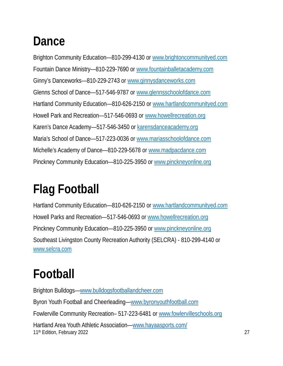## **Dance**

Brighton Community Education—810-299-4130 or [www.brightoncommunityed.com](http://www.brightoncommunityed.com/) Fountain Dance Ministry—810-229-7690 or [www.fountainballetacademy.com](http://www.fountainballetacademy.com/) Ginny's Danceworks—810-229-2743 or [www.ginnysdanceworks.com](http://www.ginnysdanceworks.com/) Glenns School of Dance—517-546-9787 or [www.glennsschoolofdance.com](http://www.glennsschoolofdance.com/) Hartland Community Education—810-626-2150 or [www.hartlandcommunityed.com](http://www.hartlandcommunityed.com/) Howell Park and Recreation—517-546-0693 or [www.howellrecreation.org](http://www.howellrecreation.org/) Karen's Dance Academy—517-546-3450 or [karensdanceacademy.org](http://www.karensdanceacademy.org/) Maria's School of Dance—517-223-0036 or [www.mariasschoolofdance.com](http://www.mariasschoolofdance.com/) Michelle's Academy of Dance—810-229-5678 or [www.madpacdance.com](http://www.madpacdance.com/) Pinckney Community Education—810-225-3950 or [www.pinckneyonline.org](http://www.pinckneyonline.org/)

# **Flag Football**

Hartland Community Education—810-626-2150 or [www.hartlandcommunityed.com](http://www.hartlandcommunityed.com/) Howell Parks and Recreation—517-546-0693 or [www.howellrecreation.org](http://www.howellrecreation.org/) Pinckney Community Education—810-225-3950 or [www.pinckneyonline.org](http://www.pinckneyonline.org/) Southeast Livingston County Recreation Authority (SELCRA) - 810-299-4140 or [www.selcra.com](http://www.selcra.com/)

# **Football**

11<sup>th</sup> Edition, February 2022 27 Brighton Bulldogs[—www.bulldogsfootballandcheer.com](file://LIVCOHQ/Ehamilton/www.bulldogsfootballandcheer.com) Byron Youth Football and Cheerleading[—www.byronyouthfootball.com](file://LIVCOHQ/Ehamilton/www.byronyouthfootball.com) Fowlerville Community Recreation– 517-223-6481 or [www.fowlervilleschools.org](file://LIVCOHQ/Ehamilton/www.fowlervilleschools.org) Hartland Area Youth Athletic Association[—www.hayaasports.com/](file://LIVCOHQ/Ehamilton/www.hayaasports.com/)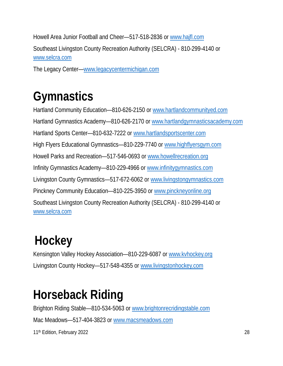Howell Area Junior Football and Cheer—517-518-2836 or [www.hajfl.com](file://LIVCOHQ/Ehamilton/www.hajfl.com) Southeast Livingston County Recreation Authority (SELCRA) - 810-299-4140 or [www.selcra.com](file://LIVCOHQ/Ehamilton/www.selcra.com)

The Legacy Center[—www.legacycentermichigan.com](file://LIVCOHQ/Ehamilton/www.legacycentermichigan.com)

# **Gymnastics**

Hartland Community Education—810-626-2150 or [www.hartlandcommunityed.com](http://www.hartlandcommunityed.com/) Hartland Gymnastics Academy—810-626-2170 or [www.hartlandgymnasticsacademy.com](http://www.hartlandgymnasticsacademy.com/) Hartland Sports Center—810-632-7222 or [www.hartlandsportscenter.com](http://www.hartlandsportscenter.com/) High Flyers Educational Gymnastics—810-229-7740 or [www.highflyersgym.com](http://www.highflyersgym.com/) Howell Parks and Recreation—517-546-0693 or [www.howellrecreation.org](http://www.howellrecreation.org/) Infinity Gymnastics Academy—810-229-4966 or [www.infinitygymnastics.com](http://www.infinitygymnastics.com/) Livingston County Gymnastics—517-672-6062 or [www.livingstongymnastics.com](http://www.livingstongymnastics.com/) Pinckney Community Education—810-225-3950 or [www.pinckneyonline.org](http://www.pinckneyonline.org/) Southeast Livingston County Recreation Authority (SELCRA) - 810-299-4140 or [www.selcra.com](http://www.selcra.com/)

## **Hockey**

Kensington Valley Hockey Association—810-229-6087 or [www.kvhockey.org](http://www.kvhockey.org/) Livingston County Hockey—517-548-4355 or [www.livingstonhockey.com](http://www.livingstonhockey.com/)

# **Horseback Riding**

Brighton Riding Stable—810-534-5063 or [www.brightonrecridingstable.com](http://www.brightonrecridingstable.com/) Mac Meadows—517-404-3823 or [www.macsmeadows.com](http://www.macsmeadows.com/)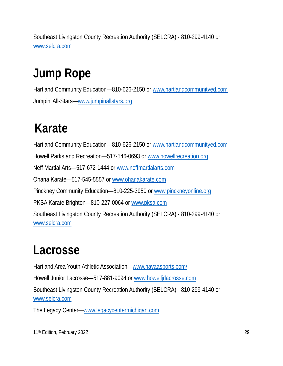Southeast Livingston County Recreation Authority (SELCRA) - 810-299-4140 or [www.selcra.com](http://www.selcra.com/)

## **Jump Rope**

Hartland Community Education—810-626-2150 or [www.hartlandcommunityed.com](http://www.hartlandcommunityed.com/) Jumpin' All-Stars[—www.jumpinallstars.org](http://www.jumpinallstars.org/)

# **Karate**

Hartland Community Education—810-626-2150 or [www.hartlandcommunityed.com](http://www.hartlandcommunityed.com/) Howell Parks and Recreation—517-546-0693 or [www.howellrecreation.org](http://www.howellrecreation.org/) Neff Martial Arts—517-672-1444 or [www.neffmartialarts.com](http://www.neffmartialarts.com/) Ohana Karate—517-545-5557 or [www.ohanakarate.com](http://www.ohanakarate.com/) Pinckney Community Education—810-225-3950 or [www.pinckneyonline.org](http://www.pinckneyonline.org/) PKSA Karate Brighton—810-227-0064 or [www.pksa.com](http://www.pksa.com/) Southeast Livingston County Recreation Authority (SELCRA) - 810-299-4140 or [www.selcra.com](http://www.selcra.com/)

#### **Lacrosse**

Hartland Area Youth Athletic Association[—www.hayaasports.com/](http://www.hayaasports.com/) Howell Junior Lacrosse—517-881-9094 or [www.howelljrlacrosse.com](http://www.howelljrlacrosse.com/) Southeast Livingston County Recreation Authority (SELCRA) - 810-299-4140 or [www.selcra.com](http://www.selcra.com/)

The Legacy Center[—www.legacycentermichigan.com](http://www.legacycentermichigan.com/)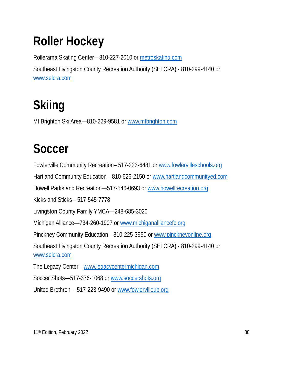# **Roller Hockey**

Rollerama Skating Center—810-227-2010 or [metroskating.com](http://www.metroskating.com/) Southeast Livingston County Recreation Authority (SELCRA) - 810-299-4140 or [www.selcra.com](http://www.selcra.com/)

# **Skiing**

Mt Brighton Ski Area—810-229-9581 or [www.mtbrighton.com](http://www.mtbrighton.com/)

# **Soccer**

Fowlerville Community Recreation– 517-223-6481 or [www.fowlervilleschools.org](http://www.fowlervilleschools.org/) Hartland Community Education—810-626-2150 or [www.hartlandcommunityed.com](http://www.hartlandcommunityed.com/) Howell Parks and Recreation—517-546-0693 or [www.howellrecreation.org](http://www.howellrecreation.org/) Kicks and Sticks—517-545-7778 Livingston County Family YMCA—248-685-3020 Michigan Alliance—734-260-1907 or [www.michiganalliancefc.org](http://www.michiganalliancefc.org/) Pinckney Community Education—810-225-3950 or [www.pinckneyonline.org](http://www.pinckneyonline.org/) Southeast Livingston County Recreation Authority (SELCRA) - 810-299-4140 or [www.selcra.com](http://www.selcra.com/) The Legacy Center[—www.legacycentermichigan.com](http://www.legacycentermichigan.com/) Soccer Shots—517-376-1068 or [www.soccershots.org](http://www.soccershots.org/)

United Brethren -- 517-223-9490 or [www.fowlervilleub.org](http://fowlervilleub.org/)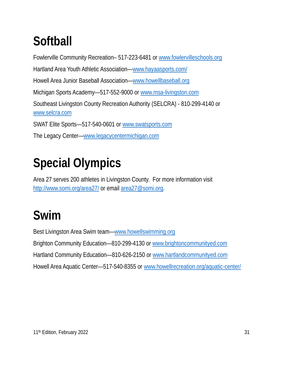## **Softball**

Fowlerville Community Recreation– 517-223-6481 or [www.fowlervilleschools.org](http://www.fowlervilleschools.org/)

Hartland Area Youth Athletic Association[—www.hayaasports.com/](http://www.hayaasports.com/)

Howell Area Junior Baseball Association[—www.howellbaseball.org](http://www.howellbaseball.org/)

Michigan Sports Academy—517-552-9000 or [www.msa-livingston.com](http://www.msa-livingston.com/)

Southeast Livingston County Recreation Authority (SELCRA) - 810-299-4140 or [www.selcra.com](http://www.selcra.com/)

SWAT Elite Sports—517-540-0601 or [www.swatsports.com](http://www.swatsports.com/)

The Legacy Center[—www.legacycentermichigan.com](http://www.legacycentermichigan.com/)

# **Special Olympics**

Area 27 serves 200 athletes in Livingston County. For more information visit <http://www.somi.org/area27/> or email [area27@somi.org.](mailto:area27@somi.org)

#### **Swim**

Best Livingston Area Swim team[—www.howellswimming.org](http://www.howellswimming.org/) Brighton Community Education—810-299-4130 or [www.brightoncommunityed.com](http://www.brightoncommunityed.com/) Hartland Community Education—810-626-2150 or [www.hartlandcommunityed.com](http://www.hartlandcommunityed.com/) Howell Area Aquatic Center—517-540-8355 or [www.howellrecreation.org/aquatic-center/](http://www.howellrecreation.org/aquatic-center/)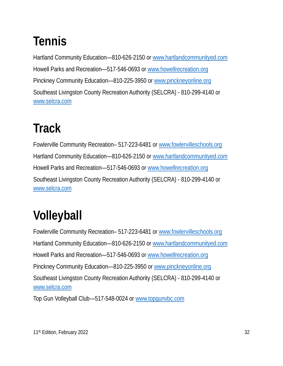# **Tennis**

Hartland Community Education—810-626-2150 or [www.hartlandcommunityed.com](http://www.hartlandcommunityed.com/) Howell Parks and Recreation—517-546-0693 or [www.howellrecreation.org](http://www.howellrecreation.org/) Pinckney Community Education—810-225-3950 or [www.pinckneyonline.org](http://www.pinckneyonline.org/) Southeast Livingston County Recreation Authority (SELCRA) - 810-299-4140 or [www.selcra.com](http://www.selcra.com/)

# **Track**

Fowlerville Community Recreation– 517-223-6481 or [www.fowlervilleschools.org](http://www.fowlervilleschools.org/) Hartland Community Education—810-626-2150 or [www.hartlandcommunityed.com](http://www.hartlandcommunityed.com/) Howell Parks and Recreation—517-546-0693 or [www.howellrecreation.org](http://www.howellrecreation.org/) Southeast Livingston County Recreation Authority (SELCRA) - 810-299-4140 or [www.selcra.com](http://www.selcra.com/)

# **Volleyball**

Fowlerville Community Recreation– 517-223-6481 or [www.fowlervilleschools.org](http://www.fowlervilleschools.org/) Hartland Community Education—810-626-2150 or [www.hartlandcommunityed.com](http://www.hartlandcommunityed.com/) Howell Parks and Recreation—517-546-0693 or [www.howellrecreation.org](http://www.howellrecreation.org/) Pinckney Community Education—810-225-3950 or [www.pinckneyonline.org](http://www.pinckneyonline.org/) Southeast Livingston County Recreation Authority (SELCRA) - 810-299-4140 or [www.selcra.com](http://www.selcra.com/)

Top Gun Volleyball Club—517-548-0024 or [www.topgunvbc.com](http://www.topgunvbc.com/)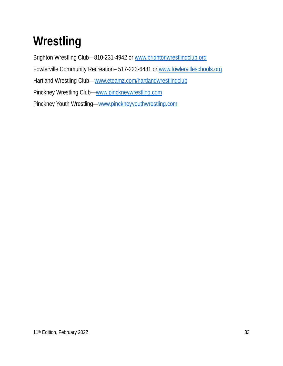# **Wrestling**

Brighton Wrestling Club—810-231-4942 or [www.brightonwrestlingclub.org](http://www.brightonwrestlingclub.org/)

Fowlerville Community Recreation– 517-223-6481 or [www.fowlervilleschools.org](http://www.fowlervilleschools.org/)

Hartland Wrestling Club[—www.eteamz.com/hartlandwrestlingclub](http://www.eteamz.com/hartlandwrestlingclub)

Pinckney Wrestling Club[—www.pinckneywrestling.com](http://www.pinckneywrestling.com/)

Pinckney Youth Wrestling[—www.pinckneyyouthwrestling.com](http://www.pinckneyyouthwrestling.com/)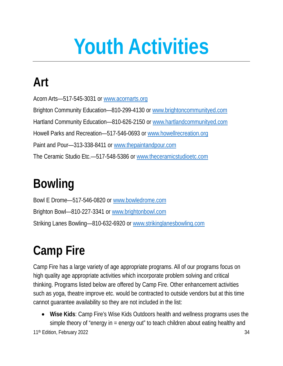# <span id="page-33-0"></span>**Youth Activities**

#### **Art**

Acorn Arts—517-545-3031 or [www.acornarts.org](http://www.acornarts.org/) Brighton Community Education—810-299-4130 or [www.brightoncommunityed.com](http://www.brightoncommunityed.com/) Hartland Community Education—810-626-2150 or [www.hartlandcommunityed.com](http://www.hartlandcommunityed.com/) Howell Parks and Recreation—517-546-0693 or [www.howellrecreation.org](http://www.howellrecreation.org/) Paint and Pour—313-338-8411 or [www.thepaintandpour.com](http://www.thepaintandpour.com/) The Ceramic Studio Etc.—517-548-5386 or [www.theceramicstudioetc.com](http://www.theceramicstudioetc.com/)

# **Bowling**

Bowl E Drome—517-546-0820 or [www.bowledrome.com](http://www.bowledrome.com/) Brighton Bowl—810-227-3341 or [www.brightonbowl.com](http://www.brightonbowl.com/) Striking Lanes Bowling—810-632-6920 or [www.strikinglanesbowling.com](http://www.strikinglanesbowling.com/)

# **Camp Fire**

Camp Fire has a large variety of age appropriate programs. All of our programs focus on high quality age appropriate activities which incorporate problem solving and critical thinking. Programs listed below are offered by Camp Fire. Other enhancement activities such as yoga, theatre improve etc. would be contracted to outside vendors but at this time cannot guarantee availability so they are not included in the list:

• **Wise Kids**: Camp Fire's Wise Kids Outdoors health and wellness programs uses the simple theory of "energy in = energy out" to teach children about eating healthy and

11<sup>th</sup> Edition, February 2022 34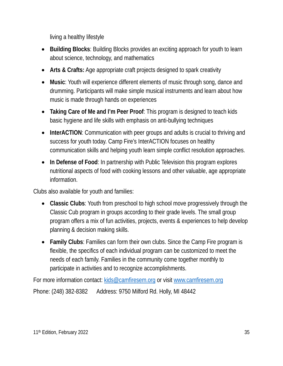living a healthy lifestyle

- **Building Blocks**: Building Blocks provides an exciting approach for youth to learn about science, technology, and mathematics
- **Arts & Crafts:** Age appropriate craft projects designed to spark creativity
- **Music**: Youth will experience different elements of music through song, dance and drumming. Participants will make simple musical instruments and learn about how music is made through hands on experiences
- **Taking Care of Me and I'm Peer Proof**: This program is designed to teach kids basic hygiene and life skills with emphasis on anti-bullying techniques
- **InterACTION**: Communication with peer groups and adults is crucial to thriving and success for youth today. Camp Fire's InterACTION focuses on healthy communication skills and helping youth learn simple conflict resolution approaches.
- **In Defense of Food**: In partnership with Public Television this program explores nutritional aspects of food with cooking lessons and other valuable, age appropriate information.

Clubs also available for youth and families:

- **Classic Clubs**: Youth from preschool to high school move progressively through the Classic Cub program in groups according to their grade levels. The small group program offers a mix of fun activities, projects, events & experiences to help develop planning & decision making skills.
- **Family Clubs**: Families can form their own clubs. Since the Camp Fire program is flexible, the specifics of each individual program can be customized to meet the needs of each family. Families in the community come together monthly to participate in activities and to recognize accomplishments.

For more information contact: [kids@camfiresem.org](mailto:kids@camfiresem.org) or visit [www.camfiresem.org](http://www.camfiresem.org/) Phone: (248) 382-8382 Address: 9750 Milford Rd. Holly, MI 48442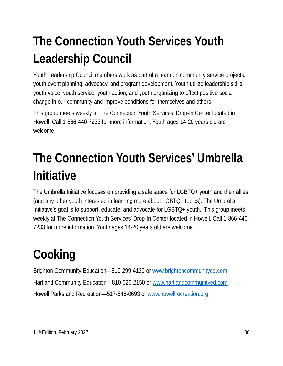# **The Connection Youth Services Youth Leadership Council**

Youth Leadership Council members work as part of a team on community service projects, youth event planning, advocacy, and program development. Youth utilize leadership skills, youth voice, youth service, youth action, and youth organizing to effect positive social change in our community and improve conditions for themselves and others.

This group meets weekly at The Connection Youth Services' Drop-In Center located in Howell. Call 1-866-440-7233 for more information. Youth ages 14-20 years old are welcome.

# **The Connection Youth Services' Umbrella Initiative**

The Umbrella Initiative focuses on providing a safe space for LGBTQ+ youth and their allies (and any other youth interested in learning more about LGBTQ+ topics). The Umbrella Initiative's goal is to support, educate, and advocate for LGBTQ+ youth. This group meets weekly at The Connection Youth Services' Drop-In Center located in Howell. Call 1-866-440- 7233 for more information. Youth ages 14-20 years old are welcome.

# **Cooking**

Brighton Community Education—810-299-4130 or [www.brightoncommunityed.com](http://www.brightoncommunityed.com/) Hartland Community Education—810-626-2150 or [www.hartlandcommunityed.com](http://www.hartlandcommunityed.com/) Howell Parks and Recreation—517-546-0693 or [www.howellrecreation.org](http://www.howellrecreation.org/)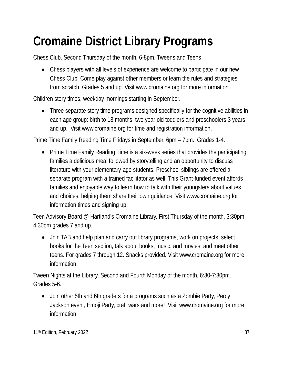## **Cromaine District Library Programs**

Chess Club. Second Thursday of the month, 6-8pm. Tweens and Teens

• Chess players with all levels of experience are welcome to participate in our new Chess Club. Come play against other members or learn the rules and strategies from scratch. Grades 5 and up. Visit www.cromaine.org for more information.

Children story times, weekday mornings starting in September.

• Three separate story time programs designed specifically for the cognitive abilities in each age group: birth to 18 months, two year old toddlers and preschoolers 3 years and up. Visit www.cromaine.org for time and registration information.

Prime Time Family Reading Time Fridays in September, 6pm – 7pm. Grades 1-4.

• Prime Time Family Reading Time is a six-week series that provides the participating families a delicious meal followed by storytelling and an opportunity to discuss literature with your elementary-age students. Preschool siblings are offered a separate program with a trained facilitator as well. This Grant-funded event affords families and enjoyable way to learn how to talk with their youngsters about values and choices, helping them share their own guidance. Visit www.cromaine.org for information times and signing up.

Teen Advisory Board @ Hartland's Cromaine Library. First Thursday of the month, 3:30pm – 4:30pm grades 7 and up.

• Join TAB and help plan and carry out library programs, work on projects, select books for the Teen section, talk about books, music, and movies, and meet other teens. For grades 7 through 12. Snacks provided. Visit www.cromaine.org for more information.

Tween Nights at the Library. Second and Fourth Monday of the month, 6:30-7:30pm. Grades 5-6.

• Join other 5th and 6th graders for a programs such as a Zombie Party, Percy Jackson event, Emoji Party, craft wars and more! Visit www.cromaine.org for more information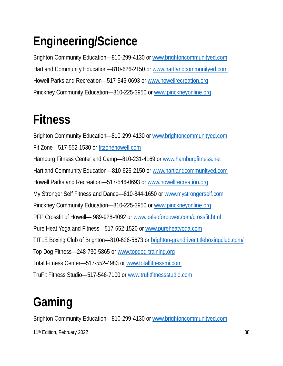# **Engineering/Science**

Brighton Community Education—810-299-4130 or [www.brightoncommunityed.com](http://www.brightoncommunityed.com/) Hartland Community Education—810-626-2150 or [www.hartlandcommunityed.com](http://www.hartlandcommunityed.com/) Howell Parks and Recreation—517-546-0693 or [www.howellrecreation.org](http://www.howellrecreation.org/) Pinckney Community Education—810-225-3950 or [www.pinckneyonline.org](http://www.pinckneyonline.org/)

#### **Fitness**

Brighton Community Education—810-299-4130 or [www.brightoncommunityed.com](http://www.brightoncommunityed.com/) Fit Zone—517-552-1530 or [fitzonehowell.com](http://www.fitzonehowell.com/) Hamburg Fitness Center and Camp—810-231-4169 or [www.hamburgfitness.net](http://www.hamburgfitness.net/) Hartland Community Education—810-626-2150 or [www.hartlandcommunityed.com](http://www.hartlandcommunityed.com/) Howell Parks and Recreation—517-546-0693 or [www.howellrecreation.org](http://www.howellrecreation.org/) My Stronger Self Fitness and Dance—810-844-1650 or [www.mystrongerself.com](http://www.mystrongerself.com/) Pinckney Community Education—810-225-3950 or [www.pinckneyonline.org](http://www.pinckneyonline.org/) PFP Crossfit of Howell- 989-928-4092 or [www.paleoforpower.com/crossfit.html](http://www.paleoforpower.com/crossfit.html) Pure Heat Yoga and Fitness—517-552-1520 or [www.pureheatyoga.com](http://www.pureheatyoga.com/) TITLE Boxing Club of Brighton—810-626-5673 or [brighton-grandriver.titleboxingclub.com/](http://brighton-grandriver.titleboxingclub.com/) Top Dog Fitness—248-730-5865 or [www.topdog-training.org](http://www.topdog-training.org/) Total Fitness Center—517-552-4983 or [www.totalfitnessmi.com](http://www.totalfitnessmi.com/) TruFit Fitness Studio—517-546-7100 or [www.trufitfitnessstudio.com](http://www.trufitfitnessstudio.com/)

# **Gaming**

Brighton Community Education—810-299-4130 or [www.brightoncommunityed.com](http://www.brightoncommunityed.com/)

11<sup>th</sup> Edition, February 2022 38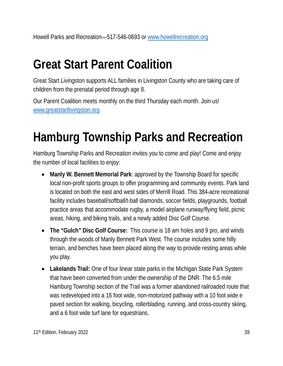#### **Great Start Parent Coalition**

Great Start Livingston supports ALL families in Livingston County who are taking care of children from the prenatal period through age 8.

Our Parent Coalition meets monthly on the third Thursday each month. Join us! [www.greatstartlivingston.org](https://www.greatstartlivingston.org/)

# **Hamburg Township Parks and Recreation**

Hamburg Township Parks and Recreation invites you to come and play! Come and enjoy the number of local facilities to enjoy:

- **Manly W. Bennett Memorial Park**: approved by the Township Board for specific local non-profit sports groups to offer programming and community events. Park land is located on both the east and west sides of Merrill Road. This 384-acre recreational facility includes baseball/softball/t-ball diamonds, soccer fields, playgrounds, football practice areas that accommodate rugby, a model airplane runway/flying field, picnic areas, hiking, and biking trails, and a newly added Disc Golf Course.
- **The "Gulch" Disc Golf Course:** This course is 18 am holes and 9 pro, and winds through the woods of Manly Bennett Park West. The course includes some hilly terrain, and benches have been placed along the way to provide resting areas while you play.
- **Lakelands Trail:** One of four linear state parks in the Michigan State Park System that have been converted from under the ownership of the DNR. The 6.5 mile Hamburg Township section of the Trail was a former abandoned railroaded route that was redeveloped into a 16 foot wide, non-motorized pathway with a 10 foot wide e paved section for walking, bicycling, rollerblading, running, and cross-country skiing, and a 6 foot wide turf lane for equestrians.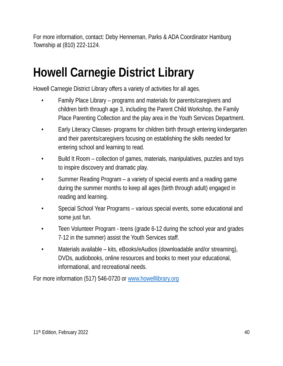For more information, contact: Deby Henneman, Parks & ADA Coordinator Hamburg Township at (810) 222-1124.

#### **Howell Carnegie District Library**

Howell Carnegie District Library offers a variety of activities for all ages.

- Family Place Library programs and materials for parents/caregivers and children birth through age 3, including the Parent Child Workshop, the Family Place Parenting Collection and the play area in the Youth Services Department.
- Early Literacy Classes- programs for children birth through entering kindergarten and their parents/caregivers focusing on establishing the skills needed for entering school and learning to read.
- Build It Room collection of games, materials, manipulatives, puzzles and toys to inspire discovery and dramatic play.
- Summer Reading Program a variety of special events and a reading game during the summer months to keep all ages (birth through adult) engaged in reading and learning.
- Special School Year Programs various special events, some educational and some just fun.
- Teen Volunteer Program teens (grade 6-12 during the school year and grades 7-12 in the summer) assist the Youth Services staff.
- Materials available kits, eBooks/eAudios (downloadable and/or streaming), DVDs, audiobooks, online resources and books to meet your educational, informational, and recreational needs.

For more information (517) 546-0720 or [www.howelllibrary.org](http://www.howelllibrary.org/)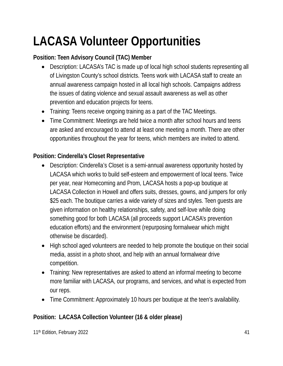### **LACASA Volunteer Opportunities**

#### **Position: Teen Advisory Council (TAC) Member**

- Description: LACASA's TAC is made up of local high school students representing all of Livingston County's school districts. Teens work with LACASA staff to create an annual awareness campaign hosted in all local high schools. Campaigns address the issues of dating violence and sexual assault awareness as well as other prevention and education projects for teens.
- Training: Teens receive ongoing training as a part of the TAC Meetings.
- Time Commitment: Meetings are held twice a month after school hours and teens are asked and encouraged to attend at least one meeting a month. There are other opportunities throughout the year for teens, which members are invited to attend.

#### **Position: Cinderella's Closet Representative**

- Description: Cinderella's Closet is a semi-annual awareness opportunity hosted by LACASA which works to build self-esteem and empowerment of local teens. Twice per year, near Homecoming and Prom, LACASA hosts a pop-up boutique at LACASA Collection in Howell and offers suits, dresses, gowns, and jumpers for only \$25 each. The boutique carries a wide variety of sizes and styles. Teen guests are given information on healthy relationships, safety, and self-love while doing something good for both LACASA (all proceeds support LACASA's prevention education efforts) and the environment (repurposing formalwear which might otherwise be discarded).
- High school aged volunteers are needed to help promote the boutique on their social media, assist in a photo shoot, and help with an annual formalwear drive competition.
- Training: New representatives are asked to attend an informal meeting to become more familiar with LACASA, our programs, and services, and what is expected from our reps.
- Time Commitment: Approximately 10 hours per boutique at the teen's availability.

#### **Position: LACASA Collection Volunteer (16 & older please)**

11<sup>th</sup> Edition, February 2022 41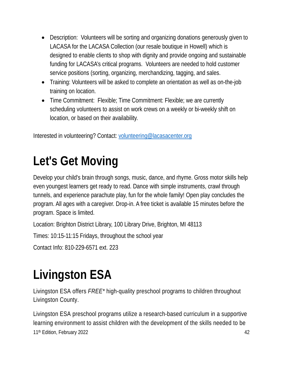- Description: Volunteers will be sorting and organizing donations generously given to LACASA for the LACASA Collection (our resale boutique in Howell) which is designed to enable clients to shop with dignity and provide ongoing and sustainable funding for LACASA's critical programs. Volunteers are needed to hold customer service positions (sorting, organizing, merchandizing, tagging, and sales.
- Training: Volunteers will be asked to complete an orientation as well as on-the-job training on location.
- Time Commitment: Flexible; Time Commitment: Flexible; we are currently scheduling volunteers to assist on work crews on a weekly or bi-weekly shift on location, or based on their availability.

Interested in volunteering? Contact: [volunteering@lacasacenter.org](mailto:volunteering@lacasacenter.org)

#### **Let's Get Moving**

Develop your child's brain through songs, music, dance, and rhyme. Gross motor skills help even youngest learners get ready to read. Dance with simple instruments, crawl through tunnels, and experience parachute play, fun for the whole family! Open play concludes the program. All ages with a caregiver. Drop-in. A free ticket is available 15 minutes before the program. Space is limited.

Location: Brighton District Library, 100 Library Drive, Brighton, MI 48113

Times: 10:15-11:15 Fridays, throughout the school year

Contact Info: 810-229-6571 ext. 223

# **Livingston ESA**

Livingston ESA offers *FREE\** high-quality preschool programs to children throughout Livingston County.

11<sup>th</sup> Edition, February 2022 42 Livingston ESA preschool programs utilize a research-based curriculum in a supportive learning environment to assist children with the development of the skills needed to be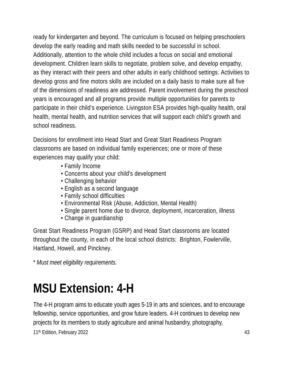ready for kindergarten and beyond. The curriculum is focused on helping preschoolers develop the early reading and math skills needed to be successful in school. Additionally, attention to the whole child includes a focus on social and emotional development. Children learn skills to negotiate, problem solve, and develop empathy, as they interact with their peers and other adults in early childhood settings. Activities to develop gross and fine motors skills are included on a daily basis to make sure all five of the dimensions of readiness are addressed. Parent involvement during the preschool years is encouraged and all programs provide multiple opportunities for parents to participate in their child's experience. Livingston ESA provides high-quality health, oral health, mental health, and nutrition services that will support each child's growth and school readiness.

Decisions for enrollment into Head Start and Great Start Readiness Program classrooms are based on individual family experiences; one or more of these experiences may qualify your child:

- Family Income
- Concerns about your child's development
- Challenging behavior
- English as a second language
- Family school difficulties
- Environmental Risk (Abuse, Addiction, Mental Health)
- Single parent home due to divorce, deployment, incarceration, illness
- Change in guardianship

Great Start Readiness Program (GSRP) and Head Start classrooms are located throughout the county, in each of the local school districts: Brighton, Fowlerville, Hartland, Howell, and Pinckney.

\* *Must meet eligibility requirements.*

#### **MSU Extension: 4-H**

The 4-H program aims to educate youth ages 5-19 in arts and sciences, and to encourage fellowship, service opportunities, and grow future leaders. 4-H continues to develop new projects for its members to study agriculture and animal husbandry, photography,

11<sup>th</sup> Edition, February 2022 43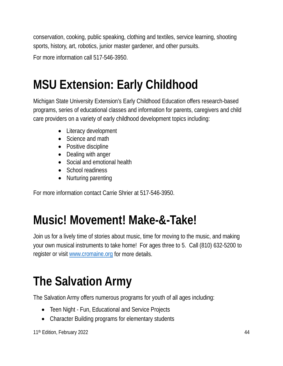conservation, cooking, public speaking, clothing and textiles, service learning, shooting sports, history, art, robotics, junior master gardener, and other pursuits.

For more information call 517-546-3950.

# **MSU Extension: Early Childhood**

Michigan State University Extension's Early Childhood Education offers research-based programs, series of educational classes and information for parents, caregivers and child care providers on a variety of early childhood development topics including:

- Literacy development
- Science and math
- Positive discipline
- Dealing with anger
- Social and emotional health
- School readiness
- Nurturing parenting

For more information contact Carrie Shrier at 517-546-3950.

#### **Music! Movement! Make-&-Take!**

Join us for a lively time of stories about music, time for moving to the music, and making your own musical instruments to take home! For ages three to 5. Call (810) 632-5200 to register or visit [www.cromaine.org](http://www.cromaine.org/) for more details.

## **The Salvation Army**

The Salvation Army offers numerous programs for youth of all ages including:

- Teen Night Fun, Educational and Service Projects
- Character Building programs for elementary students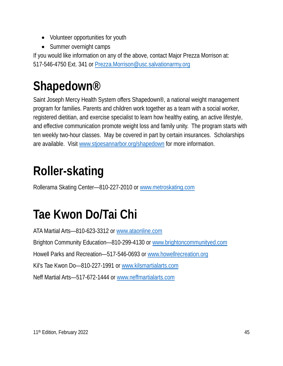- Volunteer opportunities for youth
- Summer overnight camps

If you would like information on any of the above, contact Major Prezza Morrison at: 517-546-4750 Ext. 341 or [Prezza.Morrison@usc.salvationarmy.org](mailto:Prezza.Morrison@usc.salvationarmy.org)

#### **Shapedown®**

Saint Joseph Mercy Health System offers Shapedown®, a national weight management program for families. Parents and children work together as a team with a social worker, registered dietitian, and exercise specialist to learn how healthy eating, an active lifestyle, and effective communication promote weight loss and family unity. The program starts with ten weekly two-hour classes. May be covered in part by certain insurances. Scholarships are available. Visit [www.stjoesannarbor.org/shapedown](http://www.stjoesannarbor.org/shapedown) for more information.

#### **Roller-skating**

Rollerama Skating Center—810-227-2010 or [www.metroskating.com](http://www.metroskating.com/)

# **Tae Kwon Do/Tai Chi**

ATA Martial Arts—810-623-3312 or [www.ataonline.com](http://www.ataonline.com/) Brighton Community Education—810-299-4130 or [www.brightoncommunityed.com](http://www.brightoncommunityed.com/) Howell Parks and Recreation—517-546-0693 or [www.howellrecreation.org](http://www.howellrecreation.org/) Kil's Tae Kwon Do—810-227-1991 or [www.kilsmartialarts.com](http://www.kilsmartialarts.com/) Neff Martial Arts—517-672-1444 or [www.neffmartialarts.com](http://www.neffmartialarts.com/)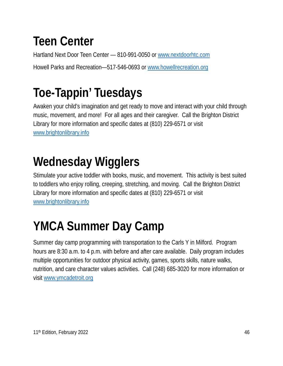## **Teen Center**

Hartland Next Door Teen Center — 810-991-0050 or [www.nextdoorhtc.com](http://www.nextdoorhtc.com/)

Howell Parks and Recreation—517-546-0693 or [www.howellrecreation.org](http://www.howellrecreation.org/)

# **Toe-Tappin' Tuesdays**

Awaken your child's imagination and get ready to move and interact with your child through music, movement, and more! For all ages and their caregiver. Call the Brighton District Library for more information and specific dates at (810) 229-6571 or visit [www.brightonlibrary.info](http://www.brightonlibrary.info/)

## **Wednesday Wigglers**

Stimulate your active toddler with books, music, and movement. This activity is best suited to toddlers who enjoy rolling, creeping, stretching, and moving. Call the Brighton District Library for more information and specific dates at (810) 229-6571 or visit [www.brightonlibrary.info](http://www.brightonlibrary.info/)

## **YMCA Summer Day Camp**

Summer day camp programming with transportation to the Carls Y in Milford. Program hours are 8:30 a.m. to 4 p.m. with before and after care available. Daily program includes multiple opportunities for outdoor physical activity, games, sports skills, nature walks, nutrition, and care character values activities. Call (248) 685-3020 for more information or visit [www.ymcadetroit.org](http://www.ymcadetroit.org/)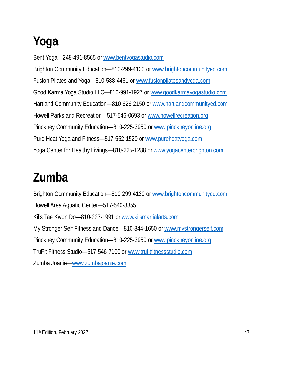# **Yoga**

Bent Yoga—248-491-8565 or [www.bentyogastudio.com](http://www.bentyogastudio.com/) Brighton Community Education—810-299-4130 or [www.brightoncommunityed.com](http://www.brightoncommunityed.com/) Fusion Pilates and Yoga—810-588-4461 or [www.fusionpilatesandyoga.com](http://www.fusionpilatesandyoga.com/) Good Karma Yoga Studio LLC—810-991-1927 or [www.goodkarmayogastudio.com](http://www.goodkarmayogastudio.com/) Hartland Community Education—810-626-2150 or [www.hartlandcommunityed.com](http://www.hartlandcommunityed.com/) Howell Parks and Recreation—517-546-0693 or [www.howellrecreation.org](http://www.howellrecreation.org/) Pinckney Community Education—810-225-3950 or [www.pinckneyonline.org](http://www.pinckneyonline.org/) Pure Heat Yoga and Fitness—517-552-1520 or [www.pureheatyoga.com](http://www.pureheatyoga.com/) Yoga Center for Healthy Livings—810-225-1288 or [www.yogacenterbrighton.com](http://www.yogacenterbrighton.com/)

#### **Zumba**

<span id="page-46-0"></span>Brighton Community Education—810-299-4130 or [www.brightoncommunityed.com](http://www.brightoncommunityed.com/) Howell Area Aquatic Center—517-540-8355 Kil's Tae Kwon Do—810-227-1991 or [www.kilsmartialarts.com](http://www.kilsmartialarts.com/) My Stronger Self Fitness and Dance—810-844-1650 or [www.mystrongerself.com](http://www.mystrongerself.com/) Pinckney Community Education—810-225-3950 or [www.pinckneyonline.org](http://www.pinckneyonline.org/) TruFit Fitness Studio—517-546-7100 or [www.trufitfitnessstudio.com](http://www.trufitfitnessstudio.com/) Zumba Joanie[—www.zumbajoanie.com](http://www.zumbajoanie.com/)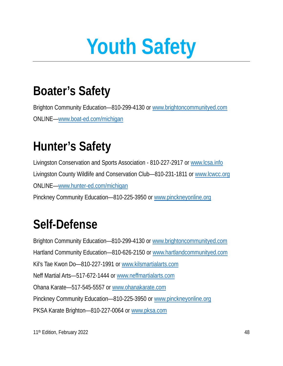# **Youth Safety**

#### **Boater's Safety**

Brighton Community Education—810-299-4130 or [www.brightoncommunityed.com](http://www.brightoncommunityed.com/) ONLINE[—www.boat-ed.com/michigan](http://www.boat-ed.com/michigan)

## **Hunter's Safety**

Livingston Conservation and Sports Association - 810-227-2917 or [www.lcsa.info](http://www.lcsa.info/) Livingston County Wildlife and Conservation Club—810-231-1811 or [www.lcwcc.org](http://www.lcwcc.org/) ONLINE[—www.hunter-ed.com/michigan](http://www.hunter-ed.com/michigan) Pinckney Community Education—810-225-3950 or [www.pinckneyonline.org](http://www.pinckneyonline.org/)

#### **Self-Defense**

Brighton Community Education—810-299-4130 or [www.brightoncommunityed.com](http://www.brightoncommunityed.com/) Hartland Community Education—810-626-2150 or [www.hartlandcommunityed.com](http://www.hartlandcommunityed.com/) Kil's Tae Kwon Do—810-227-1991 or [www.kilsmartialarts.com](http://www.kilsmartialarts.com/) Neff Martial Arts—517-672-1444 or [www.neffmartialarts.com](http://www.neffmartialarts.com/) Ohana Karate—517-545-5557 or [www.ohanakarate.com](http://www.ohanakarate.com/) Pinckney Community Education—810-225-3950 or [www.pinckneyonline.org](http://www.pinckneyonline.org/) PKSA Karate Brighton—810-227-0064 or [www.pksa.com](http://www.pksa.com/)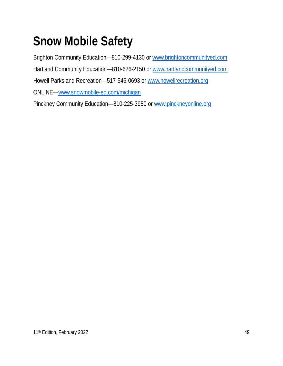# **Snow Mobile Safety**

Brighton Community Education—810-299-4130 or [www.brightoncommunityed.com](http://www.brightoncommunityed.com/) Hartland Community Education—810-626-2150 or [www.hartlandcommunityed.com](http://www.hartlandcommunityed.com/) Howell Parks and Recreation—517-546-0693 or [www.howellrecreation.org](http://www.howellrecreation.org/) ONLINE[—www.snowmobile-ed.com/michigan](http://www.snowmobile-ed.com/michigan)

Pinckney Community Education—810-225-3950 or [www.pinckneyonline.org](http://www.pinckneyonline.org/)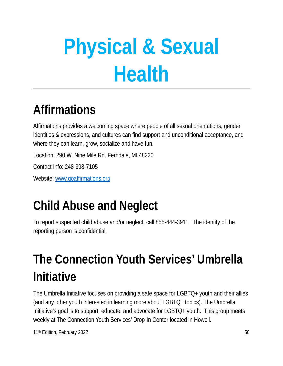# <span id="page-49-0"></span>**Physical & Sexual Health**

#### **Affirmations**

Affirmations provides a welcoming space where people of all sexual orientations, gender identities & expressions, and cultures can find support and unconditional acceptance, and where they can learn, grow, socialize and have fun.

Location: 290 W. Nine Mile Rd. Ferndale, MI 48220

Contact Info: 248-398-7105

Website: [www.goaffirmations.org](http://www.goaffirmations.org/)

## **Child Abuse and Neglect**

To report suspected child abuse and/or neglect, call 855-444-3911. The identity of the reporting person is confidential.

## **The Connection Youth Services' Umbrella Initiative**

The Umbrella Initiative focuses on providing a safe space for LGBTQ+ youth and their allies (and any other youth interested in learning more about LGBTQ+ topics). The Umbrella Initiative's goal is to support, educate, and advocate for LGBTQ+ youth. This group meets weekly at The Connection Youth Services' Drop-In Center located in Howell.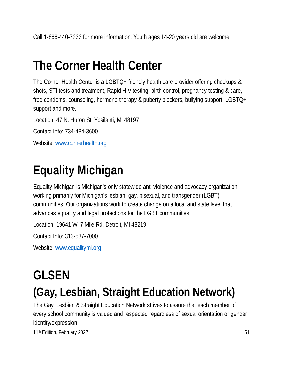Call 1-866-440-7233 for more information. Youth ages 14-20 years old are welcome.

#### **The Corner Health Center**

The Corner Health Center is a LGBTQ+ friendly health care provider offering checkups & shots, STI tests and treatment, Rapid HIV testing, birth control, pregnancy testing & care, free condoms, counseling, hormone therapy & puberty blockers, bullying support, LGBTQ+ support and more.

Location: 47 N. Huron St. Ypsilanti, MI 48197

Contact Info: 734-484-3600

Website: [www.cornerhealth.org](http://www.cornerhealth.org/)

# **Equality Michigan**

Equality Michigan is Michigan's only statewide anti-violence and advocacy organization working primarily for Michigan's lesbian, gay, bisexual, and transgender (LGBT) communities. Our organizations work to create change on a local and state level that advances equality and legal protections for the LGBT communities.

Location: 19641 W. 7 Mile Rd. Detroit, MI 48219

Contact Info: 313-537-7000

Website: [www.equalitymi.org](http://www.equalitymi.org/)

#### **GLSEN**

#### **(Gay, Lesbian, Straight Education Network)**

The Gay, Lesbian & Straight Education Network strives to assure that each member of every school community is valued and respected regardless of sexual orientation or gender identity/expression.

11<sup>th</sup> Edition, February 2022 51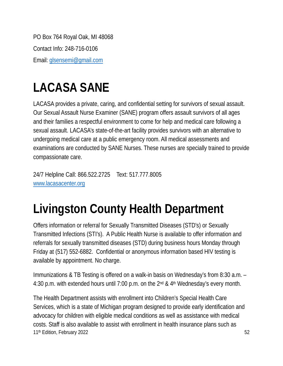PO Box 764 Royal Oak, MI 48068 Contact Info: 248-716-0106 Email: [glsensemi@gmail.com](mailto:glsensemi@gmail.com)

# **LACASA SANE**

LACASA provides a private, caring, and confidential setting for survivors of sexual assault. Our Sexual Assault Nurse Examiner (SANE) program offers assault survivors of all ages and their families a respectful environment to come for help and medical care following a sexual assault. LACASA's state-of-the-art facility provides survivors with an alternative to undergoing medical care at a public emergency room. All medical assessments and examinations are conducted by SANE Nurses. These nurses are specially trained to provide compassionate care.

24/7 Helpline Call: 866.522.2725 Text: 517.777.8005 [www.lacasacenter.org](http://www.lacasacenter.org/)

# **Livingston County Health Department**

Offers information or referral for Sexually Transmitted Diseases (STD's) or Sexually Transmitted Infections (STI's). A Public Health Nurse is available to offer information and referrals for sexually transmitted diseases (STD) during business hours Monday through Friday at (517) 552-6882. Confidential or anonymous information based HIV testing is available by appointment. No charge.

Immunizations & TB Testing is offered on a walk-in basis on Wednesday's from 8:30 a.m. – 4:30 p.m. with extended hours until 7:00 p.m. on the 2<sup>nd</sup> & 4<sup>th</sup> Wednesday's every month.

11<sup>th</sup> Edition, February 2022 52 The Health Department assists with enrollment into Children's Special Health Care Services, which is a state of Michigan program designed to provide early identification and advocacy for children with eligible medical conditions as well as assistance with medical costs. Staff is also available to assist with enrollment in health insurance plans such as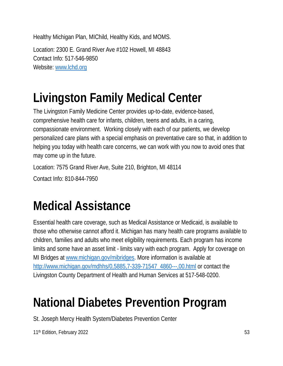Healthy Michigan Plan, MIChild, Healthy Kids, and MOMS. Location: 2300 E. Grand River Ave #102 Howell, MI 48843 Contact Info: 517-546-9850 Website: [www.lchd.org](http://www.lchd.org/)

#### **Livingston Family Medical Center**

The Livingston Family Medicine Center provides up-to-date, evidence-based, comprehensive health care for infants, children, teens and adults, in a caring, compassionate environment. Working closely with each of our patients, we develop personalized care plans with a special emphasis on preventative care so that, in addition to helping you today with health care concerns, we can work with you now to avoid ones that may come up in the future.

Location: 7575 Grand River Ave, Suite 210, Brighton, MI 48114

Contact Info: 810-844-7950

## **Medical Assistance**

Essential health care coverage, such as Medical Assistance or Medicaid, is available to those who otherwise cannot afford it. Michigan has many health care programs available to children, families and adults who meet eligibility requirements. Each program has income limits and some have an asset limit - limits vary with each program. Apply for coverage on MI Bridges at [www.michigan.gov/mibridges.](http://www.michigan.gov/mibridges) More information is available at [http://www.michigan.gov/mdhhs/0,5885,7-339-71547\\_4860---,00.html](http://www.michigan.gov/mdhhs/0,5885,7-339-71547_4860---,00.html) or contact the Livingston County Department of Health and Human Services at 517-548-0200.

#### **National Diabetes Prevention Program**

St. Joseph Mercy Health System/Diabetes Prevention Center

11<sup>th</sup> Edition, February 2022 53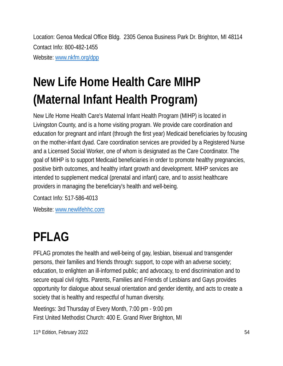Location: Genoa Medical Office Bldg. 2305 Genoa Business Park Dr. Brighton, MI 48114 Contact Info: 800-482-1455 Website: [www.nkfm.org/dpp](http://www.nkfm.org/dpp)

# **New Life Home Health Care MIHP (Maternal Infant Health Program)**

New Life Home Health Care's Maternal Infant Health Program (MIHP) is located in Livingston County, and is a home visiting program. We provide care coordination and education for pregnant and infant (through the first year) Medicaid beneficiaries by focusing on the mother-infant dyad. Care coordination services are provided by a Registered Nurse and a Licensed Social Worker, one of whom is designated as the Care Coordinator. The goal of MIHP is to support Medicaid beneficiaries in order to promote healthy pregnancies, positive birth outcomes, and healthy infant growth and development. MIHP services are intended to supplement medical (prenatal and infant) care, and to assist healthcare providers in managing the beneficiary's health and well-being.

Contact Info: 517-586-4013

Website: [www.newlifehhc.com](http://www.newlifehhc.com/)

# **PFLAG**

PFLAG promotes the health and well-being of gay, lesbian, bisexual and transgender persons, their families and friends through: support, to cope with an adverse society; education, to enlighten an ill-informed public; and advocacy, to end discrimination and to secure equal civil rights. Parents, Families and Friends of Lesbians and Gays provides opportunity for dialogue about sexual orientation and gender identity, and acts to create a society that is healthy and respectful of human diversity.

Meetings: 3rd Thursday of Every Month, 7:00 pm - 9:00 pm First United Methodist Church: 400 E. Grand River Brighton, MI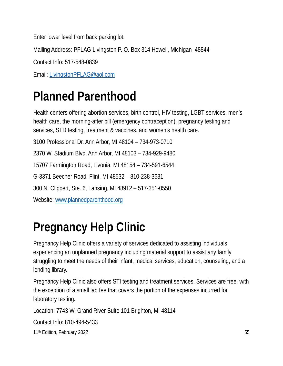Enter lower level from back parking lot.

Mailing Address: PFLAG Livingston P. O. Box 314 Howell, Michigan 48844

Contact Info: 517-548-0839

Email: [LivingstonPFLAG@aol.com](mailto:LivingstonPFLAG@aol.com)

#### **Planned Parenthood**

Health centers offering abortion services, birth control, HIV testing, LGBT services, men's health care, the morning-after pill (emergency contraception), pregnancy testing and services, STD testing, treatment & vaccines, and women's health care.

3100 Professional Dr. Ann Arbor, MI 48104 – 734-973-0710 2370 W. Stadium Blvd. Ann Arbor, MI 48103 – 734-929-9480 15707 Farmington Road, Livonia, MI 48154 – 734-591-6544 G-3371 Beecher Road, Flint, MI 48532 – 810-238-3631 300 N. Clippert, Ste. 6, Lansing, MI 48912 – 517-351-0550 Website: [www.plannedparenthood.org](http://www.plannedparenthood.org/)

# **Pregnancy Help Clinic**

Pregnancy Help Clinic offers a variety of services dedicated to assisting individuals experiencing an unplanned pregnancy including material support to assist any family struggling to meet the needs of their infant, medical services, education, counseling, and a lending library.

Pregnancy Help Clinic also offers STI testing and treatment services. Services are free, with the exception of a small lab fee that covers the portion of the expenses incurred for laboratory testing.

Location: 7743 W. Grand River Suite 101 Brighton, MI 48114

Contact Info: 810-494-5433

11<sup>th</sup> Edition, February 2022 55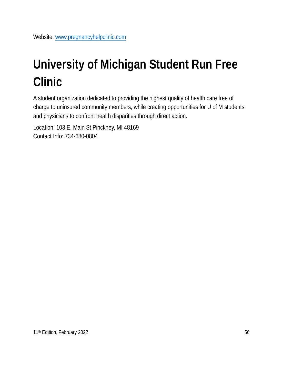# **University of Michigan Student Run Free Clinic**

A student organization dedicated to providing the highest quality of health care free of charge to uninsured community members, while creating opportunities for U of M students and physicians to confront health disparities through direct action.

<span id="page-55-0"></span>Location: 103 E. Main St Pinckney, MI 48169 Contact Info: 734-680-0804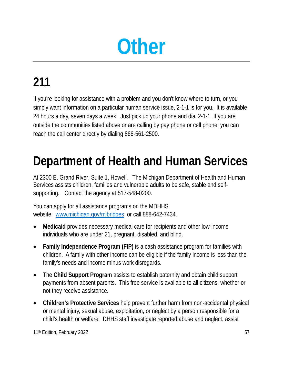# **Other**

# **211**

If you're looking for assistance with a problem and you don't know where to turn, or you simply want information on a particular human service issue, 2-1-1 is for you. It is available 24 hours a day, seven days a week. Just pick up your phone and dial 2-1-1. If you are outside the communities listed above or are calling by pay phone or cell phone, you can reach the call center directly by dialing 866-561-2500.

## **Department of Health and Human Services**

At 2300 E. Grand River, Suite 1, Howell. The Michigan Department of Health and Human Services assists children, families and vulnerable adults to be safe, stable and selfsupporting. Contact the agency at 517-548-0200.

You can apply for all assistance programs on the MDHHS website: [www.michigan.gov/mibridges](https://protect-us.mimecast.com/s/VAOVBYcDDdqte?domain=michigan.gov) or call 888-642-7434.

- **Medicaid** provides necessary medical care for recipients and other low-income individuals who are under 21, pregnant, disabled, and blind.
- **Family Independence Program (FIP)** is a cash assistance program for families with children. A family with other income can be eligible if the family income is less than the family's needs and income minus work disregards.
- The **Child Support Program** assists to establish paternity and obtain child support payments from absent parents. This free service is available to all citizens, whether or not they receive assistance.
- **Children's Protective Services** help prevent further harm from non-accidental physical or mental injury, sexual abuse, exploitation, or neglect by a person responsible for a child's health or welfare. DHHS staff investigate reported abuse and neglect, assist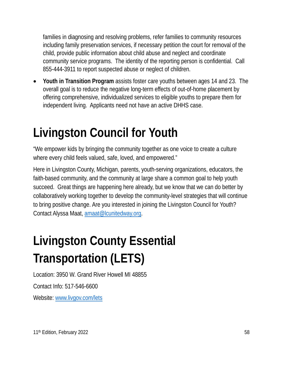families in diagnosing and resolving problems, refer families to community resources including family preservation services, if necessary petition the court for removal of the child, provide public information about child abuse and neglect and coordinate community service programs. The identity of the reporting person is confidential. Call 855-444-3911 to report suspected abuse or neglect of children.

• **Youth in Transition Program** assists foster care youths between ages 14 and 23. The overall goal is to reduce the negative long-term effects of out-of-home placement by offering comprehensive, individualized services to eligible youths to prepare them for independent living. Applicants need not have an active DHHS case.

#### **Livingston Council for Youth**

"We empower kids by bringing the community together as one voice to create a culture where every child feels valued, safe, loved, and empowered."

Here in Livingston County, Michigan, parents, youth-serving organizations, educators, the faith-based community, and the community at large share a common goal to help youth succeed. Great things are happening here already, but we know that we can do better by collaboratively working together to develop the community-level strategies that will continue to bring positive change. Are you interested in joining the Livingston Council for Youth? Contact Alyssa Maat, [amaat@lcunitedway.org.](mailto:amaat@lcunitedway.org)

# **Livingston County Essential Transportation (LETS)**

Location: 3950 W. Grand River Howell MI 48855

Contact Info: 517-546-6600

Website: [www.livgov.com/lets](http://www.livgov.com/lets)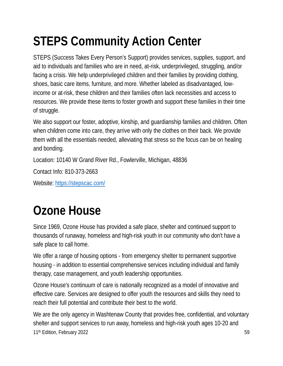# **STEPS Community Action Center**

STEPS (Success Takes Every Person's Support) provides services, supplies, support, and aid to individuals and families who are in need, at-risk, underprivileged, struggling, and/or facing a crisis. We help underprivileged children and their families by providing clothing, shoes, basic care items, furniture, and more. Whether labeled as disadvantaged, lowincome or at-risk, these children and their families often lack necessities and access to resources. We provide these items to foster growth and support these families in their time of struggle.

We also support our foster, adoptive, kinship, and guardianship families and children. Often when children come into care, they arrive with only the clothes on their back. We provide them with all the essentials needed, alleviating that stress so the focus can be on healing and bonding.

Location: 10140 W Grand River Rd., Fowlerville, Michigan, 48836

Contact Info: 810-373-2663

Website:<https://stepscac.com/>

#### **Ozone House**

Since 1969, Ozone House has provided a safe place, shelter and continued support to thousands of runaway, homeless and high-risk youth in our community who don't have a safe place to call home.

We offer a range of housing options - from emergency shelter to permanent supportive housing - in addition to essential comprehensive services including individual and family therapy, case management, and youth leadership opportunities.

Ozone House's continuum of care is nationally recognized as a model of innovative and effective care. Services are designed to offer youth the resources and skills they need to reach their full potential and contribute their best to the world.

11<sup>th</sup> Edition, February 2022 59 We are the only agency in Washtenaw County that provides free, confidential, and voluntary shelter and support services to run away, homeless and high-risk youth ages 10-20 and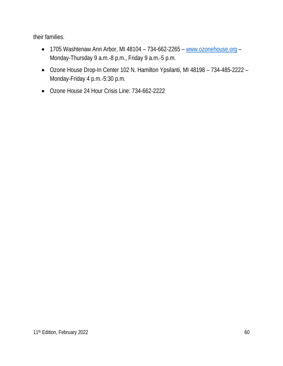their families.

- 1705 Washtenaw Ann Arbor, MI 48104 734-662-2265 [www.ozonehouse.org](http://www.ozonehouse.org/) Monday-Thursday 9 a.m.-8 p.m., Friday 9 a.m.-5 p.m.
- Ozone House Drop-In Center 102 N. Hamilton Ypsilanti, MI 48198 734-485-2222 Monday-Friday 4 p.m.-5:30 p.m.
- Ozone House 24 Hour Crisis Line: 734-662-2222